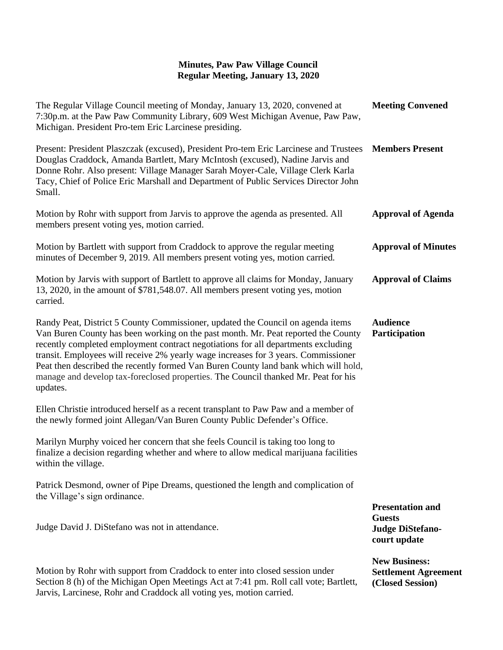## **Minutes, Paw Paw Village Council Regular Meeting, January 13, 2020**

| The Regular Village Council meeting of Monday, January 13, 2020, convened at<br>7:30p.m. at the Paw Paw Community Library, 609 West Michigan Avenue, Paw Paw,<br>Michigan. President Pro-tem Eric Larcinese presiding.                                                                                                                                                                                                                                                                                                                   | <b>Meeting Convened</b>                                                             |
|------------------------------------------------------------------------------------------------------------------------------------------------------------------------------------------------------------------------------------------------------------------------------------------------------------------------------------------------------------------------------------------------------------------------------------------------------------------------------------------------------------------------------------------|-------------------------------------------------------------------------------------|
| Present: President Plaszczak (excused), President Pro-tem Eric Larcinese and Trustees<br>Douglas Craddock, Amanda Bartlett, Mary McIntosh (excused), Nadine Jarvis and<br>Donne Rohr. Also present: Village Manager Sarah Moyer-Cale, Village Clerk Karla<br>Tacy, Chief of Police Eric Marshall and Department of Public Services Director John<br>Small.                                                                                                                                                                               | <b>Members Present</b>                                                              |
| Motion by Rohr with support from Jarvis to approve the agenda as presented. All<br>members present voting yes, motion carried.                                                                                                                                                                                                                                                                                                                                                                                                           | <b>Approval of Agenda</b>                                                           |
| Motion by Bartlett with support from Craddock to approve the regular meeting<br>minutes of December 9, 2019. All members present voting yes, motion carried.                                                                                                                                                                                                                                                                                                                                                                             | <b>Approval of Minutes</b>                                                          |
| Motion by Jarvis with support of Bartlett to approve all claims for Monday, January<br>13, 2020, in the amount of \$781,548.07. All members present voting yes, motion<br>carried.                                                                                                                                                                                                                                                                                                                                                       | <b>Approval of Claims</b>                                                           |
| Randy Peat, District 5 County Commissioner, updated the Council on agenda items<br>Van Buren County has been working on the past month. Mr. Peat reported the County<br>recently completed employment contract negotiations for all departments excluding<br>transit. Employees will receive 2% yearly wage increases for 3 years. Commissioner<br>Peat then described the recently formed Van Buren County land bank which will hold,<br>manage and develop tax-foreclosed properties. The Council thanked Mr. Peat for his<br>updates. | <b>Audience</b><br>Participation                                                    |
| Ellen Christie introduced herself as a recent transplant to Paw Paw and a member of<br>the newly formed joint Allegan/Van Buren County Public Defender's Office.                                                                                                                                                                                                                                                                                                                                                                         |                                                                                     |
| Marilyn Murphy voiced her concern that she feels Council is taking too long to<br>finalize a decision regarding whether and where to allow medical marijuana facilities<br>within the village.                                                                                                                                                                                                                                                                                                                                           |                                                                                     |
| Patrick Desmond, owner of Pipe Dreams, questioned the length and complication of<br>the Village's sign ordinance.                                                                                                                                                                                                                                                                                                                                                                                                                        |                                                                                     |
| Judge David J. DiStefano was not in attendance.                                                                                                                                                                                                                                                                                                                                                                                                                                                                                          | <b>Presentation and</b><br><b>Guests</b><br><b>Judge DiStefano-</b><br>court update |
| Motion by Rohr with support from Craddock to enter into closed session under<br>Section 8 (h) of the Michigan Open Meetings Act at 7:41 pm. Roll call vote; Bartlett,<br>Jarvis, Larcinese, Rohr and Craddock all voting yes, motion carried.                                                                                                                                                                                                                                                                                            | <b>New Business:</b><br><b>Settlement Agreement</b><br>(Closed Session)             |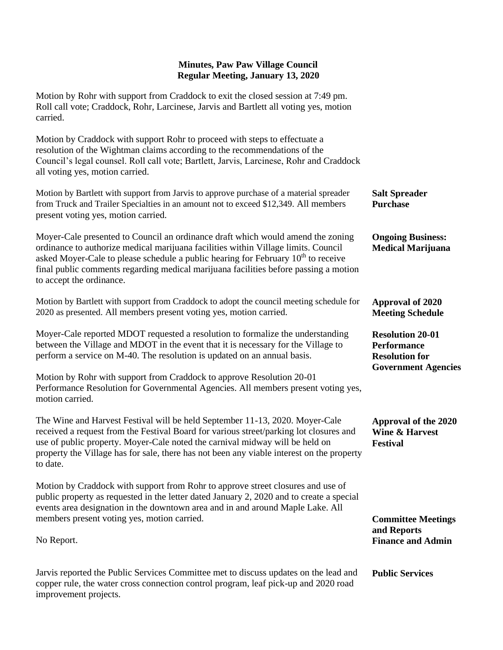## **Minutes, Paw Paw Village Council Regular Meeting, January 13, 2020**

Motion by Rohr with support from Craddock to exit the closed session at 7:49 pm. Roll call vote; Craddock, Rohr, Larcinese, Jarvis and Bartlett all voting yes, motion carried.

Motion by Craddock with support Rohr to proceed with steps to effectuate a resolution of the Wightman claims according to the recommendations of the Council's legal counsel. Roll call vote; Bartlett, Jarvis, Larcinese, Rohr and Craddock all voting yes, motion carried.

| Motion by Bartlett with support from Jarvis to approve purchase of a material spreader<br>from Truck and Trailer Specialties in an amount not to exceed \$12,349. All members<br>present voting yes, motion carried.                                                                                                                                                                       | <b>Salt Spreader</b><br><b>Purchase</b>                                                              |
|--------------------------------------------------------------------------------------------------------------------------------------------------------------------------------------------------------------------------------------------------------------------------------------------------------------------------------------------------------------------------------------------|------------------------------------------------------------------------------------------------------|
| Moyer-Cale presented to Council an ordinance draft which would amend the zoning<br>ordinance to authorize medical marijuana facilities within Village limits. Council<br>asked Moyer-Cale to please schedule a public hearing for February 10 <sup>th</sup> to receive<br>final public comments regarding medical marijuana facilities before passing a motion<br>to accept the ordinance. | <b>Ongoing Business:</b><br><b>Medical Marijuana</b>                                                 |
| Motion by Bartlett with support from Craddock to adopt the council meeting schedule for<br>2020 as presented. All members present voting yes, motion carried.                                                                                                                                                                                                                              | Approval of 2020<br><b>Meeting Schedule</b>                                                          |
| Moyer-Cale reported MDOT requested a resolution to formalize the understanding<br>between the Village and MDOT in the event that it is necessary for the Village to<br>perform a service on M-40. The resolution is updated on an annual basis.                                                                                                                                            | <b>Resolution 20-01</b><br><b>Performance</b><br><b>Resolution for</b><br><b>Government Agencies</b> |
| Motion by Rohr with support from Craddock to approve Resolution 20-01<br>Performance Resolution for Governmental Agencies. All members present voting yes,<br>motion carried.                                                                                                                                                                                                              |                                                                                                      |

The Wine and Harvest Festival will be held September 11-13, 2020. Moyer-Cale received a request from the Festival Board for various street/parking lot closures and use of public property. Moyer-Cale noted the carnival midway will be held on property the Village has for sale, there has not been any viable interest on the property to date. **Approval of the 2020 Wine & Harvest Festival**

Motion by Craddock with support from Rohr to approve street closures and use of public property as requested in the letter dated January 2, 2020 and to create a special events area designation in the downtown area and in and around Maple Lake. All members present voting yes, motion carried.

No Report.

Jarvis reported the Public Services Committee met to discuss updates on the lead and copper rule, the water cross connection control program, leaf pick-up and 2020 road improvement projects. **Public Services** 

**Committee Meetings** 

**Finance and Admin**

**and Reports**